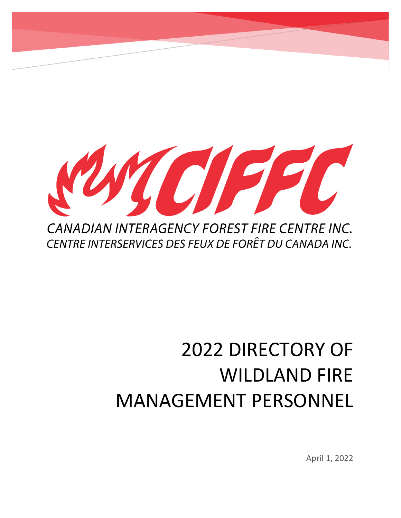

# 2022 DIRECTORY OF WILDLAND FIRE MANAGEMENT PERSONNEL

April 1, 2022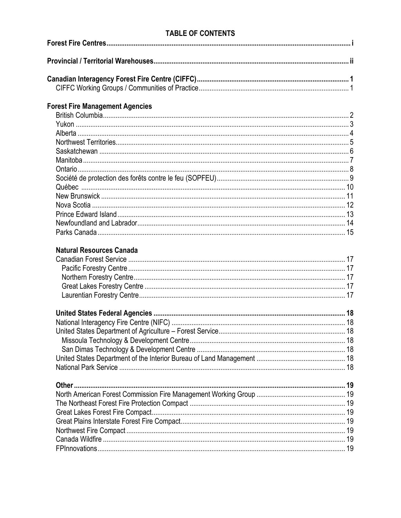## **TABLE OF CONTENTS**

| <b>Forest Fire Management Agencies</b> |  |
|----------------------------------------|--|
|                                        |  |
|                                        |  |
|                                        |  |
|                                        |  |
|                                        |  |
|                                        |  |
|                                        |  |
|                                        |  |
|                                        |  |
|                                        |  |
|                                        |  |
|                                        |  |
|                                        |  |
|                                        |  |
|                                        |  |
| <b>Natural Resources Canada</b>        |  |
|                                        |  |
|                                        |  |
|                                        |  |
|                                        |  |
|                                        |  |
|                                        |  |
|                                        |  |
|                                        |  |
|                                        |  |
|                                        |  |
|                                        |  |
|                                        |  |
|                                        |  |
|                                        |  |
|                                        |  |
|                                        |  |
|                                        |  |
|                                        |  |
|                                        |  |
|                                        |  |
|                                        |  |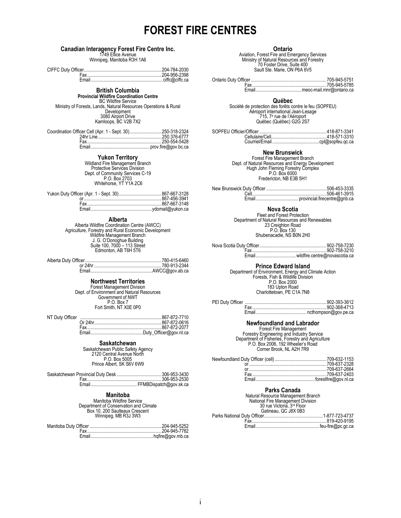## **FOREST FIRE CENTRES**

# **Canadian Interagency Forest Fire Centre Inc.**<br>1749 Ellice Avenue<br>Winnipeg, Manitoba R3H 1A6

## **British Columbia**

## **Provincial Wildfire Coordination Centre**

BC Wildfire Service Ministry of Forests, Lands, Natural Resources Operations & Rural Development 3080 Airport Drive Kamloops, BC V2B 7X2

**Yukon Territory**<br>
Wildland Fire Management Branch<br>
Protective Services Division<br>
Dept. of Community Services C-19<br>
P.O. Box 2703<br>
Whitehorse, YT Y1A 2C6

**Alberta**<br>
Alberta Wildfire Coordination Centre (AWCC)<br>
Agriculture, Forestry and Rural Economic Development<br>
Wildfire Management Branch<br>
J. G. O'Donoghue Building<br>
Suite 100, 7000 – 113 Street<br>
Edmonton, AB T6H 5T6

Alberta Duty Officer.................................................................780-415-6460 or 24hr .........................................................780-913-2344 Email....................................................AWCC@gov.ab.ca

## **Northwest Territories**

Forest Management Division Dept. of Environment and Natural Resources Government of NWT P.O. Box 7 Fort Smith, NT X0E 0P0

## **Saskatchewan**

Saskatchewan Public Safety Agency 2120 Central Avenue North P.O. Box 5005 Prince Albert, SK S6V 6W9

## **Manitoba**

Manitoba Wildfire Service Department of Conservation and Climate Box 10, 200 Saulteaux Crescent Winnipeg, MB R3J 3W3

## **Ontario**

Aviation, Forest Fire and Emergency Services Ministry of Natural Resources and Forestry 70 Foster Drive, Suite 400 Sault Ste. Marie, ON P6A 6V5

## **Québec**

Société de protection des forêts contre le feu (SOPFEU) Aéroport international Jean-Lesage 715, 7 e rue de l'Aéroport Québec (Québec) G2G 2S7

**New Brunswick**<br>Forest Fire Management Branch Dept. of Natural Resources and Energy Development Hugh John Fleming Forestry Complex P.O. Box 6000 Fredericton, NB E3B 5H1

## **Nova Scotia**

Fleet and Forest Protection<br>Department of Natural Resources and Renewables<br>23 Creighton Road<br>P.O. Box 130 Shubenacadie, NS B0N 2H0

Nova Scotia Duty Officer.........................................................902-758-7230 Fax...............................................................902-758-3210 Email..................................wildfire.centre@novascotia.ca

## **Prince Edward Island**

Department of Environment, Energy and Climate Action Forests, Fish & Wildlife Division P.O. Box 2000 183 Upton Road Charlottetown, PE C1A 7N8

## **Newfoundland and Labrador**

Forestry Engineering and Industry Service<br>
Department of Fisheries, Forestry and Agriculture<br>
P.O. Box 2006, 192 Wheeler's Road<br>
Corner Brook, NL A2H 7R9<br>
Corner Brook, NL A2H 7R9

## **Parks Canada**

| Natural Resource Management Branch |  |  |  |
|------------------------------------|--|--|--|
| National Fire Management Division  |  |  |  |
| 30 rue Victoria, 3rd Floor         |  |  |  |
| Gatineau, QC J8X 0B3               |  |  |  |
|                                    |  |  |  |
|                                    |  |  |  |
|                                    |  |  |  |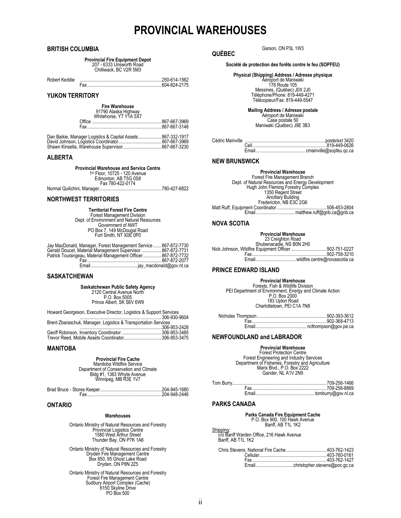## **PROVINCIAL WAREHOUSES**

## <span id="page-3-0"></span>**BRITISH COLUMBIA**

**Provincial Fire Equipment Depot** 207 - 6333 Unsworth Road Chilliwack, BC V2R 5M3

Robert Keddie .....................................................................250-614-1562 Fax...............................................................604-824-2175

## **YUKON TERRITORY**

| <b>Fire Warehouse</b>  |
|------------------------|
| 91790 Alaska Highway   |
| Whitehorse, YT Y1A 5X7 |

| Dan Baikie, Manager Logistics & Capital Assets867-332-1917 |  |
|------------------------------------------------------------|--|

## **ALBERTA**

**Provincial Warehouse and Service Centre**<br>1<sup>st</sup> Floor, 10725 - 120 Avenue<br>Edmonton, AB T5G 0S8<br>Fax 780-422-0174

Normal Quilichini, Manager.....................................................780-427-6822

## **NORTHWEST TERRITORIES**

## **Territorial Forest Fire Centre**

Forest Management Division<br>Dept. of Environment and Natural Resources<br>Government of NWT<br>PO Box 7, 149 McDougal Road<br>Fort Smith, NT X0E 0P0

| Jay MacDonald, Manager, Forest Management Service 867-872-7730 |  |
|----------------------------------------------------------------|--|
| Gerald Doucet, Material Management Supervisor  867-872-7731    |  |
| Patrick Tourangeau, Material Management Officer 867-872-7732   |  |
|                                                                |  |
|                                                                |  |

## **SASKATCHEWAN**

**Saskatchewan Public Safety Agency** 2120 Central Avenue North P.O. Box 5005 Prince Albert, SK S6V 6W9

Howard Georgeson, Executive Director, Logistics & Support Services .....................................................................306-930-9604

| Brent Zbaraschuk, Manager, Logistics & Transportation Services |  |  |
|----------------------------------------------------------------|--|--|
|                                                                |  |  |
|                                                                |  |  |
|                                                                |  |  |

## **MANITOBA**

**Provincial Fire Cache** Manitoba Wildfire Service Department of Conservation and Climate

Bldg #1, 1383 Whyte Avenue Winnipeg, MB R3E 1V7

## **ONTARIO**

## **Warehouses**

Ontario Ministry of Natural Resources and Forestry Provincial Logistics Centre 1580 West Arthur Street Thunder Bay, ON P7K 1A6

Ontario Ministry of Natural Resources and Forestry Dryden Fire Management Centre Box 850, 95 Ghost Lake Road Dryden, ON P8N 2Z5

Ontario Ministry of Natural Resources and Forestry Forest Fire Management Centre Sudbury Airport Complex (Cache) 6150 Skyline Drive PO Box 500

Garson, ON P3L 1W3

## **QUÉBEC**

**Société de protection des forêts contre le feu (SOPFEU)**

## **Physical (Shipping) Address / Adresse physique**

Aéroport de Maniwaki 176 Route 105 Messines, (Québec) J0X 2J0 Téléphone/Phone: 819-449-4271 Télécopieur/Fax: 819-449-5547

**Mailing Address / Adresse postale** Aéroport de Maniwaki

Case postale 50 Maniwaki (Québec) J9E 3B3

## **NEW BRUNSWICK**

## **Provincial Warehouse**

Forest Fire Management Branch<br>Dept. of Natural Resources and Energy Development<br>Hugh John Fleming Forestry Complex<br>1350 Regent Street<br>Ancillary Building<br>Fredericton, NB E3C 2G6<br>Matt Ruff, Equipment Coordinator ............

## **NOVA SCOTIA**

## **Provincial Warehouse**

23 Creighton Road<br>Shubenacadie, NS B0N 2H0<br>Nick Johnson, Wildfire Equipment Officer .................................902-751-0227 Fax...............................................................902-758-3210 Email..................................wildfire.centre@novascotia.ca

## **PRINCE EDWARD ISLAND**

**Provincial Warehouse**<br>Forests, Fish & Wildlife Division<br>PEI Department of Environment, Energy and Climate Action<br>P.O. Box 2000 183 Upton Road Charlottetown, PEI C1A 7N8

## **NEWFOUNDLAND and LABRADOR**

## **Provincial Warehouse** Forest Protection Centre

Forest Engineering and Industry Services Department of Fisheries, Forestry and Agriculture Marix Blvd., P.O. Box 2222 Gander, NL A1V 2N9

## **PARKS CANADA**

Shipping:

## **Parks Canada Fire Equipment Cache** P.O. Box 900, 100 Hawk Avenue Banff, AB T1L 1K2

c/o Banff Warden Office, 216 Hawk Avenue Banff, AB T1L 1K2

| Chris Stevens. National Fire Cache 403-762-1423 |  |
|-------------------------------------------------|--|
|                                                 |  |
|                                                 |  |
|                                                 |  |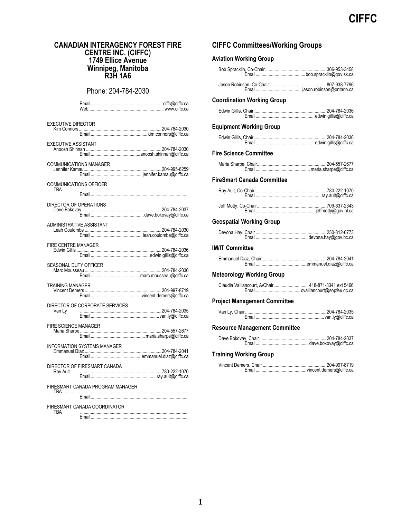## <span id="page-4-0"></span>**CANADIAN INTERAGENCY FOREST FIRE CENTRE INC. (CIFFC) 1749 Ellice Avenue Winnipeg, Manitoba R3H 1A6**

Phone: 204-784-2030

| <b>EXECUTIVE DIRECTOR</b>            |                                    |  |
|--------------------------------------|------------------------------------|--|
| <b>EXECUTIVE ASSISTANT</b>           |                                    |  |
|                                      | <b>COMMUNICATIONS MANAGER</b>      |  |
| <b>COMMUNICATIONS OFFICER</b><br>TRA |                                    |  |
| DIRECTOR OF OPERATIONS               |                                    |  |
| ADMINISTRATIVE ASSISTANT             |                                    |  |
| FIRE CENTRE MANAGER                  |                                    |  |
|                                      |                                    |  |
| <b>SEASONAL DUTY OFFICER</b>         |                                    |  |
| <b>TRAINING MANAGER</b>              |                                    |  |
| Van Ly                               | DIRECTOR OF CORPORATE SERVICES     |  |
| <b>FIRE SCIENCE MANAGER</b>          |                                    |  |
|                                      | <b>INFORMATION SYSTEMS MANAGER</b> |  |
| Ray Ault                             | DIRECTOR OF FIRESMART CANADA       |  |
|                                      | FIRESMART CANADA PROGRAM MANAGER   |  |
|                                      | FIRESMART CANADA COORDINATOR       |  |

<span id="page-4-1"></span>TBA ............................................................................................ Email...................................................................................

## **CIFFC Committees/Working Groups**

## **Aviation Working Group**

| <b>Coordination Working Group</b>                  |  |
|----------------------------------------------------|--|
|                                                    |  |
| <b>Equipment Working Group</b>                     |  |
|                                                    |  |
| <b>Fire Science Committee</b>                      |  |
|                                                    |  |
| FireSmart Canada Committee                         |  |
|                                                    |  |
|                                                    |  |
| <b>Geospatial Working Group</b>                    |  |
|                                                    |  |
|                                                    |  |
| <b>IM/IT Committee</b>                             |  |
|                                                    |  |
| <b>Meteorology Working Group</b>                   |  |
| Claudia Vaillancourt, A/Chair418-871-3341 ext 5466 |  |
| <b>Project Management Committee</b>                |  |
|                                                    |  |
| <b>Resource Management Committee</b>               |  |
|                                                    |  |
| <b>Training Working Group</b>                      |  |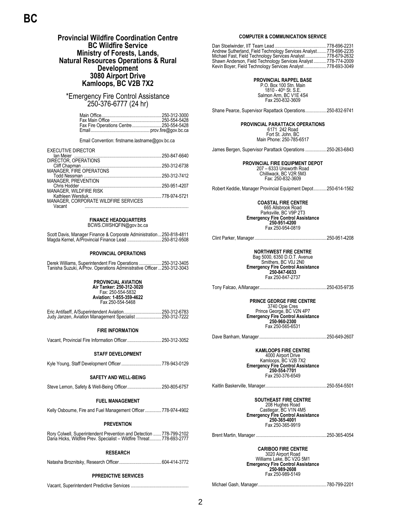## <span id="page-5-0"></span>**Provincial Wildfire Coordination Centre BC Wildfire Service Ministry of Forests, Lands, Natural Resources Operations & Rural Development 3080 Airport Drive Kamloops, BC V2B 7X2**

\*Emergency Fire Control Assistance 250-376-6777 (24 hr)

| Fax Fire Operations Centre 250-554-5428 |  |
|-----------------------------------------|--|
|                                         |  |

Email Convention: firstname.lastname@gov.bc.ca

| <b>EXECUTIVE DIRECTOR</b>  |                                      |  |
|----------------------------|--------------------------------------|--|
|                            |                                      |  |
| DIRECTOR, OPERATIONS       |                                      |  |
|                            |                                      |  |
|                            |                                      |  |
|                            |                                      |  |
| <b>MANAGER, PREVENTION</b> |                                      |  |
|                            |                                      |  |
| MANAGER, WILDFIRE RISK     |                                      |  |
|                            |                                      |  |
|                            | MANAGER, CORPORATE WILDFIRE SERVICES |  |
| Vacant                     |                                      |  |

**FINANCE HEADQUARTERS** BCWS.CWSHQFIN@gov.bc.ca

## Scott Davis, Manager Finance & Corporate Administration...250-818-4811 Magda Kernel, A/Provincial Finance Lead .....................

## **PROVINCIAL OPERATIONS**

| Derek Williams, Superintendent Fire Operations  250-312-3405            |  |  |  |
|-------------------------------------------------------------------------|--|--|--|
| Tanisha Suzuki, A/Prov. Operations Administrative Officer  250-312-3043 |  |  |  |

## **PROVINCIAL AVIATION**

**Air Tanker: 250-312-3020** Fax: 250-554-5832 **Aviation: 1-855-359-4622** Fax 250-554-5468

| Judy Janzen, Aviation Management Specialist 250-312-7222 |  |
|----------------------------------------------------------|--|

## **FIRE INFORMATION**

Vacant, Provincial Fire Information Officer.............................250-312-3052

## **STAFF DEVELOPMENT**

Kyle Young, Staff Development Officer..................................778-943-0129

## **SAFETY AND WELL-BEING**

Steve Lemon, Safety & Well-Being Officer.............................250-805-6757

## **FUEL MANAGEMENT**

Kelly Osbourne, Fire and Fuel Management Officer..............778-974-4902

### **PREVENTION**

Rory Colwell, Superintendent Prevention and Detection .......778-799-2102 Dana Hicks, Wildfire Prev. Specialist – Wildfire Threat..........778-693-2777

## **RESEARCH**

Natasha Broznitsky, Research Officer....................................604-414-3772

## **PPREDICTIVE SERVICES**

Vacant, Superintendent Predictive Services .................................................

## **COMPUTER & COMMUNICATION SERVICE**

Dan Stoelwinder, IIT Team Lead ............................................778-696-2231 Andrew Sutherland, Field Technology Services Analyst........778-696-2235 Michael Fast, Field Technology Services Analyst ..................778-679-2632 Shawn Anderson, Field Technology Services Analyst ...........778-774-2009 Kevin Boyer, Field Technology Services Analyst ...................778-693-3049

### **PROVINCIAL RAPPEL BASE** P.O. Box 100 Stn. Main

1810 - 40th St. S.E. Salmon Arm, BC V1E 4S4 Fax 250-832-3609

Shane Pearce, Supervisor Rapattack Operations..................250-832-9741

### **PROVINCIAL PARATTACK OPERATIONS** 6171 242 Road

Fort St. John, BC Main Phone: 250-785-6517

James Bergen, Supervisor Parattack Operations ..................250-263-6843

**PROVINCIAL FIRE EQUIPMENT DEPOT** 207 – 6333 Unsworth Road Chilliwack, BC V2R 5M3 Fax: 250-832-3609

Robert Keddie, Manager Provincial Equipment Depot...........250-614-1562

**COASTAL FIRE CENTRE** 665 Allsbrook Road Parksville, BC V9P 2T3 **Emergency Fire Control Assistance 250-951-4200**  Fax 250-954-0819

Clint Parker, Manager.............................................................250-951-4208

**NORTHWEST FIRE CENTRE** Bag 5000, 6350 D.O.T. Avenue Smithers, BC V0J 2N0 **Emergency Fire Control Assistance 250-847-6633** Fax 250-847-2737

Tony Falcao, A/Manager.........................................................250-635-9735

**PRINCE GEORGE FIRE CENTRE** 3740 Opie Cres Prince George, BC V2N 4P7 **Emergency Fire Control Assistance 250-960-2300** Fax 250-565-6531

Dave Banham, Manager.........................................................250-649-2607

## **KAMLOOPS FIRE CENTRE**

4000 Airport Drive Kamloops, BC V2B 7X2 **Emergency Fire Control Assistance 250-554-7701** Fax 250-376-6549

Kaitlin Baskerville, Manager....................................................250-554-5501

## **SOUTHEAST FIRE CENTRE**

208 Hughes Road Castlegar, BC V1N 4M5 **Emergency Fire Control Assistance 250-365-4001** Fax 250-365-9919

Brent Martin, Manager ............................................................250-365-4054

**CARIBOO FIRE CENTRE** 3020 Airport Road Williams Lake, BC V2G 5M1

**Emergency Fire Control Assistance 250-989-2608** Fax 250-989-5149

Michael Gash, Manager..........................................................780-799-2201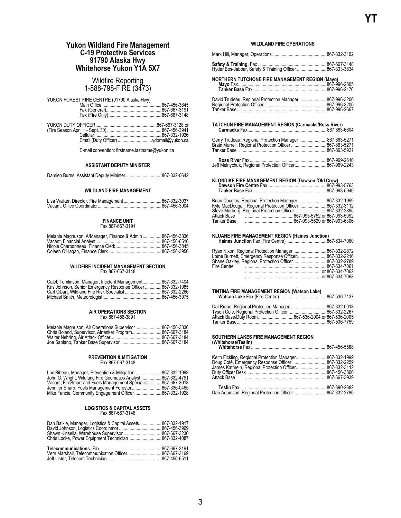## <span id="page-6-0"></span>**Yukon Wildland Fire Management C-19 Protective Services 91790 Alaska Hwy Whitehorse Yukon Y1A 5X7**

## Wildfire Reporting 1-888-798-FIRE (3473)

YUKON FOREST FIRE CENTRE (91790 Alaska Hwy)

E-mail convention: firstname.lastname@yukon.ca

## **ASSISTANT DEPUTY MINISTER**

Damien Burns, Assistant Deputy Minister ..............................867-332-0642

## **WILDLAND FIRE MANAGEMENT**

### **FINANCE UNIT** Fax 867-667-3191

| Melanie Magnuson, A/Manager, Finance & Admin 867-456-3836 |  |
|-----------------------------------------------------------|--|
|                                                           |  |
|                                                           |  |
|                                                           |  |

## **WILDFIRE INCIDENT MANAGEMENT SECTION** Fax 867-667-3148

| Caleb Tomlinson, Manager, Incident Management 867-332-7404    |  |
|---------------------------------------------------------------|--|
| Kris Johnson, Senior Emergency Response Officer  867-332-1985 |  |
|                                                               |  |
|                                                               |  |

## **AIR OPERATIONS SECTION** Fax 867-456-3891

| Melanie Magnuson, Air Operations Supervisor 867-456-3836 |  |
|----------------------------------------------------------|--|
|                                                          |  |
|                                                          |  |
|                                                          |  |

### **PREVENTION & MITIGATION** Fax 867-667-3148

| Luc Bibeau, Manager, Prevention & Mitigation  867-332-1993     |  |
|----------------------------------------------------------------|--|
| John G. Wright, Wildland Fire Geomatics Analyst 867-332-4791   |  |
| Vacant, FireSmart and Fuels Management Specialist 867-667-3013 |  |
| Jennifer Sharp, Fuels Management Forester 867-336-0465         |  |
| Mike Fancie, Community Engagement Officer 867-332-1928         |  |

## **LOGISTICS & CAPITAL ASSETS** Fax 867-667-3148

| Dan Baikie, Manager, Logistics & Capital Assets867-332-1917 |  |
|-------------------------------------------------------------|--|
|                                                             |  |

## **WILDLAND FIRE OPERATIONS**

| Hyder Bos-Jabbar, Safety & Training Officer 867-333-3834                                                            |  |
|---------------------------------------------------------------------------------------------------------------------|--|
| NORTHERN TUTCHONE FIRE MANAGEMENT REGION (Mayo)                                                                     |  |
| David Trudeau, Regional Protection Manager  867-996-3200<br>Tanker Base……………………………………………………………867-996-2667          |  |
| TATCHUN FIRE MANAGEMENT REGION (Carmacks/Ross River)                                                                |  |
| Gerry Trudeau, Regional Protection Manager  867 863-5271<br>Brain Murrell, Regional Protection Officer 867-863-5271 |  |
| Jeff Melnychuk, Regional Protection Officer867-969-2243                                                             |  |
|                                                                                                                     |  |

## **KLONDIKE FIRE MANAGEMENT REGION (Dawson /Old Crow) Dawson Fire Centre** Fax..................................................867-993-5763

| Brian Douglas, Regional Protection Manager  867-332-1999<br>Kyle MacDougall, Regional Protection Officer867-332-3112 |  |
|----------------------------------------------------------------------------------------------------------------------|--|
| Steve Morberg, Regional Protection Officer 867-332-2895                                                              |  |
|                                                                                                                      |  |
|                                                                                                                      |  |

**KLUANE FIRE MANAGEMENT REGION (Haines Junction) Haines Junction** Fax (Fire Centre) ..................................867-634-7060

|             | Ryan Nixon, Regional Protection Manager  867-332-2872  |
|-------------|--------------------------------------------------------|
|             | Lorne Burnett, Emergency Response Officer 867-332-2216 |
|             | Shane Oakley, Regional Protection Officer 867-332-2789 |
| Fire Centre |                                                        |
|             |                                                        |
|             | $\alpha$ 867-634-7063                                  |

### **TINTINA FIRE MANAGEMENT REGION (Watson Lake) Watson Lake** Fax (Fire Centre)........................................867-536-7137

| Cal Rread, Regional Protection Manager 867-332-0013  |  |
|------------------------------------------------------|--|
| Tyson Cole, Regional Protection Officer 867-332-2267 |  |
| Attack Base/Duty Room867-536-2004 or 867-536-2005    |  |
|                                                      |  |

### **SOUTHERN LAKES FIRE MANAGEMENT REGION (Whitehorse/Teslin) Whitehorse** Fax ................................................................867-456-5588

|  | Keith Fickling, Regional Protection Manager867-332-1999<br>Doug Coté, Emergency Response Officer 867-332-2259<br>James Kathrein, Regional Protection Officer867-332-3112<br>Dan Adamson, Regional Protection Officer867-332-2780 |
|--|----------------------------------------------------------------------------------------------------------------------------------------------------------------------------------------------------------------------------------|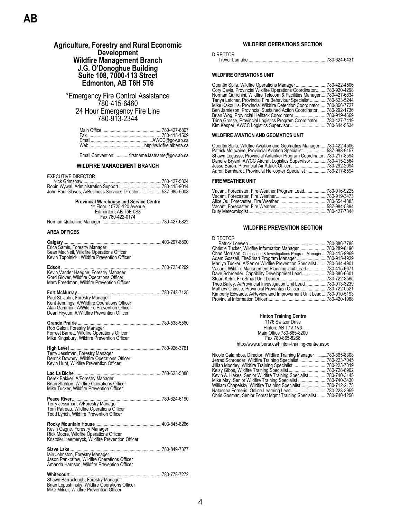## **Agriculture, Forestry and Rural Economic Development Wildfire Management Branch J.G. O'Donoghue Building Suite 108, 7000-113 Street Edmonton, AB T6H 5T6**

<span id="page-7-0"></span>\*Emergency Fire Control Assistance 780-415-6460 24 Hour Emergency Fire Line 780-913-2344

Email Convention: ........... firstname.lastname@gov.ab.ca

## **WILDFIRE MANAGEMENT BRANCH**

EXECUTIVE DIRECTOR

| John Paul Glaves, A/Business Services Director587-985-5008 |  |
|------------------------------------------------------------|--|

| <b>Provincial Warehouse and Service Centre</b><br>1st Floor, 10725-120 Avenue                                                                                               |  |  |
|-----------------------------------------------------------------------------------------------------------------------------------------------------------------------------|--|--|
| Edmonton, AB T5E 0S8                                                                                                                                                        |  |  |
| Fax 780-422-0174                                                                                                                                                            |  |  |
|                                                                                                                                                                             |  |  |
| <b>AREA OFFICES</b>                                                                                                                                                         |  |  |
| Sean MacNeil, Wildfire Operations Officer<br>Kevin Topolnicki, Wildfire Prevention Officer                                                                                  |  |  |
| Kevin Vander Haeghe, Forestry Manager<br>Gord Glover, Wildfire Operations Officer<br>Marc Freedman, Wildfire Prevention Officer                                             |  |  |
| Paul St. John, Forestry Manager<br>Kent Jennings, A/Wildfire Operations Officer<br>Alan Gammon, A/Wildfire Prevention Officer<br>Dean Hrycun, A/Wildfire Prevention Officer |  |  |
| Rob Galon, Forestry Manager<br>Forrest Barrett, Wildfire Operations Officer<br>Mike Kingsbury, Wildfire Prevention Officer                                                  |  |  |
| Terry Jessiman, Forestry Manager<br>Derrick Downey, Wildfire Operations Officer<br>Kevin Hunt, Wildfire Prevention Officer                                                  |  |  |
| Derek Bakker, A/Forestry Manager<br>Brian Stanton, Wildfire Operations Officer<br>Mike Tucker. Wildfire Prevention Officer                                                  |  |  |
| Terry Jessiman, A/Forestry Manager<br>Tom Patreau, Wildfire Operations Officer<br>Todd Lynch, Wildfire Prevention Officer                                                   |  |  |
| Kevin Gagne, Forestry Manager<br>Rick Moore, Wildfire Operations Officer<br>Kristofer Heemeryck, Wildfire Prevention Officer                                                |  |  |
| Slave Lake<br>lain Johnston, Forestry Manager<br>Jason Pankratow, Wildfire Operations Officer<br>Amanda Harrison, Wildfire Prevention Officer                               |  |  |
| Whitecourt<br>Shawn Barraclough, Forestry Manager<br>Brian Lopushinsky, Wildfire Operations Officer<br>Mike Milner, Wildfire Prevention Officer                             |  |  |

## **WILDFIRE OPERATIONS SECTION**

| <b>DIRECTOR</b> |  |
|-----------------|--|
|                 |  |

## **WILDFIRE OPERATIONS UNIT**

| Quentin Spila, Wildfire Operations Manager                            | .780-422-4506  |
|-----------------------------------------------------------------------|----------------|
| Cory Davis, Provincial Wildfire Operations Coordinator                | .780-920-4298  |
| Norman Quilichini, Wildfire Telecom & Facilities Manager.             | .780-427-6834  |
| Tanya Letcher, Provincial Fire Behaviour Specialist780-623-5244       |                |
| Mike Kakoullis, Provincial Wildfire Detection Coordinator780-866-7727 |                |
| Ben Jamieson, Provincial Sustained Action Coordinator780-292-1736     |                |
| Brian Wog, Provincial Helitack Coordinator780-919-4669                |                |
| Trina Grosse, Provincial Logistics Program Coordinator  780-427-7419  |                |
|                                                                       | . 780-644-5534 |
|                                                                       |                |

## **WILDFIRE AVIATION AND GEOMATICS UNIT**

| Quentin Spila, Wildfire Aviation and Geomatics Manager780-422-4506  |               |
|---------------------------------------------------------------------|---------------|
| Patrick McIlwaine, Provincial Aviation Specialist587-988-9157       |               |
| Shawn Legasse, Provincial Airtanker Program Coordinator780-217-8594 |               |
| Danelle Bryant, AWCC Aircraft Logistics Supervisor 780-415-2564     |               |
| Jesse Baron, Provincial Air Attack Officer                          | .780-292-2094 |
| Aaron Barnhardt, Provincial Helicopter Specialist                   | .780-217-8594 |

## **FIRE WEATHER UNIT**

| Vacant, Forecaster, Fire Weather Program Lead780-916-9225 |  |
|-----------------------------------------------------------|--|
|                                                           |  |
|                                                           |  |
|                                                           |  |
|                                                           |  |
|                                                           |  |

## **WILDFIRE PREVENTION SECTION**

DIRECTOR

|                                                                        | .780-886-7788 |
|------------------------------------------------------------------------|---------------|
| Christie Tucker, Wildfire Information Manager 780-289-8196             |               |
| Chad Morrison, Compliance & Investigations Program Manager780-415-9969 |               |
| Adam Gossell, FireSmart Program Manager                                | 780-915-4929  |
| Marilyn Tucker, A/Senior Wildfire Prevention Specialist                | 780-644-4901  |
| Vacant, Wildfire Management Planning Unit Lead780-415-6671             |               |
| Dave Schroeder, Capability Development Lead780-886-6601                |               |
|                                                                        |               |
| Theo Bailey, A/Provincial Investigation Unit Lead780-913-3239          |               |
| Mathew Christie, Provincial Prevention Officer 780-722-0521            |               |
| Kimberly Edwards, A/Review and Improvement Unit Lead780-910-5193       |               |
|                                                                        |               |
|                                                                        |               |

| <b>Hinton Training Centre</b>                     |
|---------------------------------------------------|
| 1176 Switzer Drive                                |
| Hinton, AB T7V 1V3                                |
| Main Office 780-865-8200                          |
| Fax 780-865-8266                                  |
| http://www.alberta.ca/hinton-training-centre.aspx |

| 780-865-8308                                                          |
|-----------------------------------------------------------------------|
| 780-223-7045                                                          |
| 780-223-7019                                                          |
| .780-728-8902                                                         |
| 780-740-3145                                                          |
| 780-740-3430<br>Mike May, Senior Wildfire Training Specialist         |
| 780-712-2175                                                          |
| 780-223-3959                                                          |
| Chris Gosman, Senior Forest Mgmt Training Specialist.<br>780-740-1256 |
|                                                                       |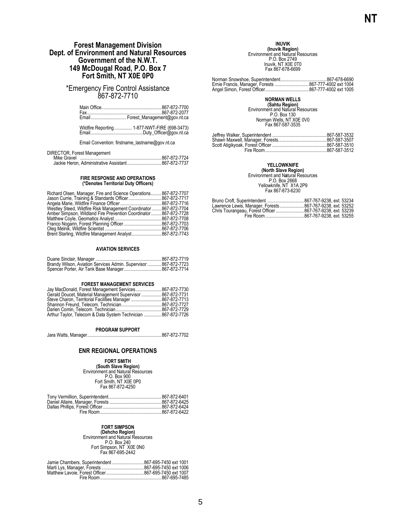## <span id="page-8-0"></span>**Forest Management Division Dept. of Environment and Natural Resources Government of the N.W.T. 149 McDougal Road, P.O. Box 7 Fort Smith, NT X0E 0P0**

\*Emergency Fire Control Assistance 867-872-7710

|                                       | Email Forest_Management@gov.nt.ca      |
|---------------------------------------|----------------------------------------|
| $MPLID \rightarrow D \rightarrow LPL$ | $(0.77 \times 0.077)$ FIDE (COO 0.470) |

Wildfire Reporting............... 1-877-NWT-FIRE (698-3473) Email............................................Duty\_Officer@gov.nt.ca

Email Convention: firstname\_lastname@gov.nt.ca

## DIRECTOR, Forest Management

| Mike Gravel |  |                                                     |
|-------------|--|-----------------------------------------------------|
|             |  | Jackie Heron, Administrative Assistant 867-872-7737 |

## **FIRE RESPONSE AND OPERATIONS (\*Denotes Territorial Duty Officers)**

| Richard Olsen, Manager, Fire and Science Operations             | .867-872-7707 |
|-----------------------------------------------------------------|---------------|
|                                                                 | .867-872-7717 |
|                                                                 | .867-872-7716 |
| Westley Steed, Wildfire Risk Management Coordinator             | 867-872-7704  |
| Amber Simpson, Wildland Fire Prevention Coordinator867-872-7728 |               |
|                                                                 | .867-872-7708 |
|                                                                 |               |
|                                                                 | .867-872-7706 |
| Brent Starling, Wildfire Management Analyst 867-872-7743        |               |

## **AVIATION SERVICES**

| Brandy Wilson, Aviation Services Admin. Supervisor 867-872-7723 |  |
|-----------------------------------------------------------------|--|
|                                                                 |  |

## **FOREST MANAGEMENT SERVICES**

| Jay MacDonald, Forest Management Services 867-872-7730       |  |
|--------------------------------------------------------------|--|
| Gerald Doucet, Material Management Supervisor  867-872-7731  |  |
| Steve Charon, Territorial Facilities Manager 867-872-7713    |  |
|                                                              |  |
|                                                              |  |
| Arthur Taylor, Telecom & Data System Technician 867-872-7726 |  |

### **PROGRAM SUPPORT**

Jara Watts, Manager...............................................................867-872-7702

## **ENR REGIONAL OPERATIONS**

**FORT SMITH (South Slave Region)** Environment and Natural Resources P.O. Box 900 Fort Smith, NT X0E 0P0 Fax 867-872-4250

**FORT SIMPSON<br>
(Dehcho Region)<br>
Environment and Natural Resources<br>
P.O. Box 240** Fort Simpson, NT X0E 0N0 Fax 867-695-2442

## **INUVIK (Inuvik Region)**<br>Environment and Natural Resources<br>P.O. Box 2749 Inuvik, NT X0E 0T0 Fax 867-678-6699

Norman Snowshoe, Superintendent.......................................867-678-6690 Ernie Francis, Manager, Forests .............................867-777-4002 ext 1004 Angel Simon, Forest Officer.....................................867-777-4002 ext 1005

**NORMAN WELLS<br>
<b>(Sahtu Region)**<br>
Environment and Natural Resources<br>
P.O. Box 130<br>
Norman Wells, NT X0E 0V0<br>
Fax 867-587-3535

## **YELLOWKNIFE**

**(North Slave Region)** Environment and N**a**tural Resources P.O. Box 2668 Yellowknife, NT X1A 2P9 Fax 867-873-6230

| Lawrence Lewis, Manager, Forests867-767-9238, ext. 53252  |  |
|-----------------------------------------------------------|--|
| Chris Tourangeau, Forest Officer 867-767-9238, ext. 53239 |  |
|                                                           |  |
|                                                           |  |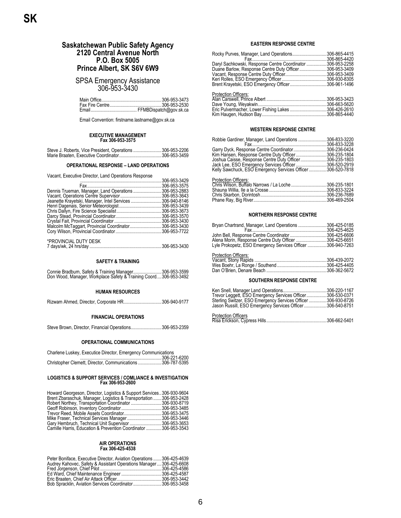## <span id="page-9-0"></span>**Saskatchewan Public Safety Agency 2120 Central Avenue North P.O. Box 5005 Prince Albert, SK S6V 6W9**

## SPSA Emergency Assistance 306-953-3430

Email Convention: firstname.lastname@gov.sk.ca

## **EXECUTIVE MANAGEMENT Fax 306-953-3575**

| Steve J. Roberts, Vice President, Operations 306-953-2206 |  |
|-----------------------------------------------------------|--|
|                                                           |  |

## **OPERATIONAL RESPONSE – LAND OPERATIONS**

Vacant, Executive Director, Land Operations Response

|                                                         | .306-953-3429 |
|---------------------------------------------------------|---------------|
|                                                         | 306-953-3575  |
| Dennis Trueman, Manager, Land Operations306-953-2883    |               |
|                                                         |               |
| Jeanette Krayetski, Manager, Intel Services306-940-8146 |               |
|                                                         |               |
|                                                         |               |
|                                                         |               |
|                                                         |               |
| Malcolm McTaggart, Provincial Coordinator306-953-3430   |               |
|                                                         |               |
|                                                         |               |
| *PROVINCIAL DUTY DESK                                   |               |
|                                                         |               |

## **SAFETY & TRAINING**

| Connie Bradburn, Safety & Training Manager306-953-3599           |  |
|------------------------------------------------------------------|--|
| Don Wood, Manager, Workplace Safety & Training Coord306-953-3492 |  |

## **HUMAN RESOURCES**

| Rizwam Ahmed, Director, Corporate HR306-940-9177 |  |
|--------------------------------------------------|--|
|--------------------------------------------------|--|

## **FINANCIAL OPERATIONS**

| Steve Brown, Director, Financial Operations306-953-2359 |  |  |  |  |  |
|---------------------------------------------------------|--|--|--|--|--|
|---------------------------------------------------------|--|--|--|--|--|

## **OPERATIONAL COMMUNICATIONS**

| Charlene Luskey, Executice Director, Emergency Communications |        |
|---------------------------------------------------------------|--------|
|                                                               | 0.0000 |

| Criditeric Luskey, Executive Director, Emergency Communications |                       |
|-----------------------------------------------------------------|-----------------------|
|                                                                 | $\ldots$ 306-221-6200 |
| Christopher Clemett, Director, Communications 306-787-5395      |                       |

## **LOGISTICS & SUPPORT SERVICES / COMLIANCE & INVESTIGATION Fax 306-953-2600**

| Howard Georgeson, Director, Logistics & Support Services306-930-9604 |               |
|----------------------------------------------------------------------|---------------|
| Brent Zbaraschuk, Manager, Logistics & Transportation  306-953-2428  |               |
| Robert Northey, Transportation Coordinator306-930-8719               |               |
|                                                                      | 306-953-3485  |
|                                                                      | 306-953-3475  |
|                                                                      | .306-953-3446 |
|                                                                      | .306-953-3653 |
| Camille Harris, Education & Prevention Coordinator  306-953-3543     |               |

### **AIR OPERATIONS Fax 306-425-4538**

| Peter Boniface, Executive Director, Aviation Operations 306-425-4639 |  |
|----------------------------------------------------------------------|--|
| Audrey Kahovec, Safety & Assistant Operations Manager306-425-6608    |  |
|                                                                      |  |
|                                                                      |  |
|                                                                      |  |
| Bob Spracklin, Aviation Services Coordinator306-953-3458             |  |

## **EASTERN RESPONSE CENTRE**

| Rocky Purves, Manager, Land Operations306-865-4415         |               |
|------------------------------------------------------------|---------------|
|                                                            | .306-865-4420 |
| Daryl Sachkowski, Response Centre Coordinator 306-953-2258 |               |
| Duane Barlow, Response Centre Duty Officer306-953-3409     |               |
|                                                            |               |
|                                                            |               |
|                                                            |               |
| <b>Protection Officers:</b>                                |               |
|                                                            | 306-953-3423  |
|                                                            | 306-663-5620  |
| Eric Pulvermacher, Lower Fishing Lakes 306-426-2610        |               |
|                                                            |               |
|                                                            |               |

## **WESTERN RESPONSE CENTRE**

| Robbie Gardiner, Manager, Land Operations 306-833-3220      |               |
|-------------------------------------------------------------|---------------|
|                                                             | .306-833-3228 |
| Garry Dyck, Response Centre Coordinator306-236-0424         |               |
| Kim Hansen, Response Centre Duty Officer306-235-1804        |               |
| Joshua Caisse, Response Centre Duty Officer306-235-1803     |               |
| Jack Lee, ESO Emergency Services Officer306-520-2919        |               |
| Kelly Sawchuck, ESO Emergency Services Officer 306-520-7818 |               |
| <b>Protection Officers:</b>                                 |               |
| Chris Wilson, Buffalo Narrows / La Loche 306-235-1801       |               |

| Chris Wilson. Buffalo Narrows / La Loche 306-235-1801 |  |
|-------------------------------------------------------|--|
|                                                       |  |
|                                                       |  |
|                                                       |  |

## **NORTHERN RESPONSE CENTRE**

| Bryan Chartrand, Manager, Land Operations 306-425-0185      |               |
|-------------------------------------------------------------|---------------|
|                                                             | .306-425-4625 |
| John Bell, Response Centre Coordinator306-425-6606          |               |
| Alena Morin, Response Centre Duty Officer 306-425-6651      |               |
| Lyle Prokopetz, ESO Emergency Services Officer 306-940-7263 |               |
|                                                             |               |
| <b>Protection Officers:</b>                                 |               |
|                                                             |               |

## **SOUTHERN RESPONSE CENTRE**

| Trevor Leggett, ESO Emergency Services Officer306-530-0371<br>Sterling Switzer, ESO Emergency Services Officer 306-930-8726<br>Jason Russill, ESO Emergency Services Officer 306-540-8751 |  |
|-------------------------------------------------------------------------------------------------------------------------------------------------------------------------------------------|--|
| Protection Officers                                                                                                                                                                       |  |
|                                                                                                                                                                                           |  |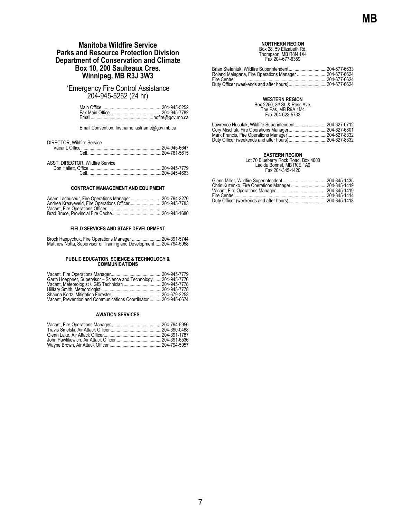## **Manitoba Wildfire Service Parks and Resource Protection Division Department of Conservation and Climate Box 10, 200 Saulteaux Cres. Winnipeg, MB R3J 3W3**

<span id="page-10-0"></span>\*Emergency Fire Control Assistance 204-945-5252 (24 hr)

Email Convention: firstname.lastname@gov.mb.ca

## **CONTRACT MANAGEMENT AND EQUIPMENT**

| Adam Ladouceur, Fire Operations Manager204-794-3270 |  |
|-----------------------------------------------------|--|
|                                                     |  |
|                                                     |  |
|                                                     |  |

## **FIELD SERVICES AND STAFF DEVELOPMENT**

| Brock Happychuk, Fire Operations Manager 204-391-5744             |  |
|-------------------------------------------------------------------|--|
| Matthew Notta, Supervisor of Training and Development204-794-5958 |  |

## **PUBLIC EDUCATION, SCIENCE & TECHNOLOGY & COMMUNICATIONS**

| Garth Hoeppner, Supervisor - Science and Technology204-945-7776 |  |
|-----------------------------------------------------------------|--|
| Vacant, Meteorologist /. GIS Technician 204-945-7778            |  |
|                                                                 |  |
|                                                                 |  |
| Vacant. Prevention and Communications Coordinator  204-945-6674 |  |
|                                                                 |  |

### **AVIATION SERVICES**

## **NORTHERN REGION**

Box 28, 59 Elizabeth Rd. Thompson, MB R8N 1X4 Fax 204-677-6359

| Roland Malegana, Fire Operations Manager 204-677-6624 |  |
|-------------------------------------------------------|--|
| Fire Centre                                           |  |
|                                                       |  |
|                                                       |  |

**WESTERN REGION**<br>Box 2250, 3<sup>rd</sup> St. & Ross Ave.<br>The Pas, MB R9A 1M4<br>Fax 204-623-5733

| Lawrence Huculak, Wildfire Superintendent204-627-0712 |  |
|-------------------------------------------------------|--|
|                                                       |  |
|                                                       |  |
|                                                       |  |

**EASTERN REGION<br>Lot 70 Blueberry Rock Road, Box 4000<br>Lac du Bonnet, MB R0E 1A0<br>Fax 204-345-1420**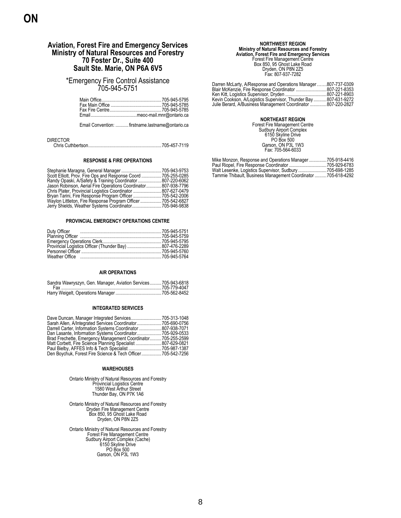## <span id="page-11-0"></span>**Aviation, Forest Fire and Emergency Services Ministry of Natural Resources and Forestry 70 Foster Dr., Suite 400 Sault Ste. Marie, ON P6A 6V5**

\*Emergency Fire Control Assistance 705-945-5751

Email Convention: ...........firstname.lastname@ontario.ca

| <b>DIRECTOR</b> |  |
|-----------------|--|
|                 |  |

### **RESPONSE & FIRE OPERATIONS**

|                                                    | .705-943-9753 |
|----------------------------------------------------|---------------|
| Scott Elliott, Prov. Fire Ops and Response Coord   | .705-255-0285 |
| Randy Opaski, A/Safety & Training Coordinator      | .807-220-6062 |
| Jason Robinson, Aerial Fire Operations Coordinator | 807-938-7796  |
|                                                    |               |
| Bryan Tarini, Fire Response Program Officer        | .705-542-2006 |
| Waylon Littleton, Fire Response Program Officer    | .705-542-6827 |
|                                                    |               |

## **PROVINCIAL EMERGENCY OPERATIONS CENTRE**

## **AIR OPERATIONS**

| Sandra Wawryszyn, Gen. Manager, Aviation Services705-943-6818 |  |
|---------------------------------------------------------------|--|
|                                                               |  |
|                                                               |  |

## **INTEGRATED SERVICES**

| Dave Duncan, Manager Integrated Services         | 705-313-1048  |
|--------------------------------------------------|---------------|
| Sarah Allen, A/Integrated Services Coordinator   | .705-690-0756 |
| Darrell Carter, Information Systems Coordinator  | 807-938-7071  |
| Dan Lasante, Information Systems Coordinator     | .705-929-0533 |
| Brad Frechette, Emergency Management Coordinator | .705-255-2599 |
| Matt Corbett, Fire Science Planning Specialist   | 807-629-0821  |
| Paul Bielby, AFFES Info & Tech Specialist        | 705-987-1387  |
| Den Boychuk, Forest Fire Science & Tech Officer  | .705-542-7256 |

## **WAREHOUSES**

Ontario Ministry of Natural Resources and Forestry Provincial Logistics Centre 1580 West Arthur Street Thunder Bay, ON P7K 1A6

Ontario Ministry of Natural Resources and Forestry Dryden Fire Management Centre Box 850, 95 Ghost Lake Road Dryden, ON P8N 2Z5

Ontario Ministry of Natural Resources and Forestry Forest Fire Management Centre Sudbury Airport Complex (Cache) 6150 Skyline Drive PO Box 500 Garson, ON P3L 1W3

# **Ministry of Natural Resources and Forestry<br>
Aviation, Forest Fire and Emergency Services**<br>
Forest Fire Management Centre<br>
Box 850, 95 Ghost Lake Road<br>
Dryden, ON P8N 2Z5<br>
Fax: 807-937-7282

| Darren McLarty, A/Response and Operations Manager 807-737-0309 |  |
|----------------------------------------------------------------|--|
| Blair McKenzie, Fire Response Coordinator 807-221-8353         |  |
|                                                                |  |
| Kevin Cookson, A/Logistics Supervisor, Thunder Bay807-631-9272 |  |
| Julie Berard, A/Business Management Coordinator 807-220-2827   |  |

**NORTHEAST REGION**<br>Forest Fire Management Centre<br>
Sudbury Airport Complex<br>
6150 Skyline Drive<br>
PO Box 500<br>
Garson, ON P3L 1W3<br>
Fax: 705-564-6033

| Mike Monzon, Response and Operations Manager705-918-4416       |  |
|----------------------------------------------------------------|--|
|                                                                |  |
| Walt Lesenke, Logistics Supervisor, Sudbury 705-698-1285       |  |
| Tammie Thibault, Business Management Coordinator  705-618-4292 |  |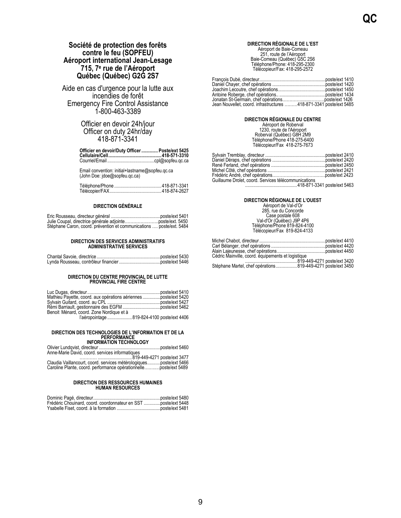## <span id="page-12-0"></span>**Société de protection des forêts contre le feu (SOPFEU) Aéroport international Jean-Lesage 715, 7 e rue de l'Aéroport Québec (Québec) G2G 2S7**

Aide en cas d'urgence pour la lutte aux incendies de forêt Emergency Fire Control Assistance 1-800-463-3389

> Officier en devoir 24h/jour Officer on duty 24hr/day 418-871-3341

| Officier en devoir/Duty Officer  Poste/ext 5425 |  |
|-------------------------------------------------|--|
|                                                 |  |
|                                                 |  |

Email convention: initial+lastname@sopfeu.qc.ca (John Doe: jdoe@sopfeu.qc.ca)

## **DIRECTION GÉNÉRALE**

|                                                                      | poste/ext 5401 |
|----------------------------------------------------------------------|----------------|
|                                                                      |                |
| Stéphane Caron, coord. prévention et communications  poste/ext. 5484 |                |

### **DIRECTION DES SERVICES ADMINISTRATIFS ADMINISTRATIVE SERVICES**

## **DIRECTION DU CENTRE PROVINCIAL DE LUTTE PROVINCIAL FIRE CENTRE**

| Mathieu Payette, coord. aux opérations aériennes poste/ext 5420 |  |
|-----------------------------------------------------------------|--|
|                                                                 |  |
|                                                                 |  |
| Benoit Ménard, coord. Zone Nordique et à                        |  |
| l'aéropointage 819-824-4100 poste/ext 4406                      |  |

# **DIRECTION DES TECHNOLOGIES DE L'INFORMATION ET DE LA PERFORMANCE INFORMATION TECHNOLOGY**

| <b>INFURNATION TECHNOLOGI</b>                                      |  |
|--------------------------------------------------------------------|--|
|                                                                    |  |
| Anne-Marie David, coord. services informatiques                    |  |
|                                                                    |  |
| Claudia Vaillancourt, coord. services métérologiquesposte/ext 5466 |  |
| Caroline Plante, coord. performance opérationnelleposte/ext 5489   |  |

## **DIRECTION DES RESSOURCES HUMAINES HUMAN RESOURCES**

| Frédéric Chouinard, coord. coordonnateur en SST poste/ext 5448 |  |
|----------------------------------------------------------------|--|
|                                                                |  |

## **DIRECTION RÉGIONALE DE L'EST** Aéroport de Baie-Comeau 251, route de l'Aéroport Baie-Comeau (Québec) G5C 2S6 Téléphone/Phone: 418-295-2300 Télécopieur/Fax: 418-295-2572

| Jean Nouvellet, coord. infrastructures 418-871-3341 poste/ext 5485 |  |
|--------------------------------------------------------------------|--|

## **DIRECTION RÉGIONALE DU CENTRE** Aéroport de Roberval 1230, route de l'Aéroport Roberval (Québec) G8H 2M9 Téléphone/Phone 418-275-6400 Télécopieur/Fax 418-275-7673

| Guillaume Drolet, coord. Services télécommunications |  |
|------------------------------------------------------|--|
|                                                      |  |
|                                                      |  |

### **DIRECTION RÉGIONALE DE L'OUEST**

Aéroport de Val-d'Or 285, rue du Concorde Case postale 608 Val-d'Or (Québec) J9P 4P6 Téléphone/Phone 819-824-4100 Télécopieur/Fax 819-824-4133

| Cédric Mainville, coord. équipements et logistique |  |
|----------------------------------------------------|--|
|                                                    |  |
|                                                    |  |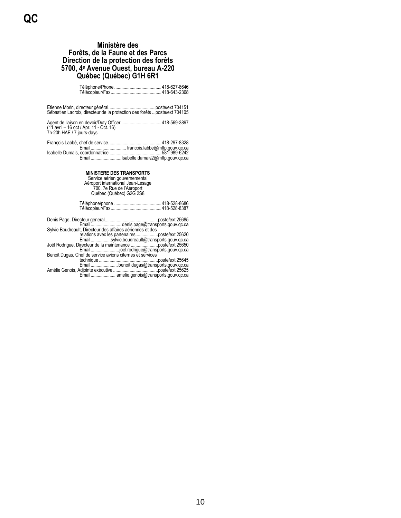## **Ministère des Forêts, de la Faune et des Parcs Direction de la protection des forêts 5700, 4<sup>e</sup> Avenue Ouest, bureau A-220 Québec (Québec) G1H 6R1**

<span id="page-13-0"></span>

| Sébastien Lacroix, directeur de la protection des forêts poste/ext 704105 |  |
|---------------------------------------------------------------------------|--|
| (11 avril – 16 oct / Apr. 11 - Oct. 16)<br>7h-20h HAE / 7 jours-days      |  |
| .                                                                         |  |

Isabelle Dumais, coordonnatrice ............................................581-989-6242 Email..........................Isabelle.dumais2@mffp.gouv.qc.ca

**MINISTERE DES TRANSPORTS**<br>
Service aérien gouvernemental<br>
Aéroport international Jean-Lesage<br>
700, 7e Rue de l'Aéroport<br>
Québec (Québec) G2G 2S8

Denis Page, Directeur general...........................................[..poste/ext](tel:418-528-8383) 25685 Email.......................... denis.page@transports.gouv.qc.ca Sylvie Boudreault, Directeur des affaires aériennes et des relations avec les partenaires...................poste/ext 25620 Email.................sylvie.boudreault@transports.gouv.qc.ca Joël Rodrigue, Directeur de la maintenance .....................[..poste/ext](tel:418-528-8350) 25650 Email........................joel.rodrigue@transports.gouv.qc.ca Benoit Dugas, Chef de service avions citernes et services technique ..................................................poste/ext 25645 Email....................... benoit.dugas@transports.gouv.qc.ca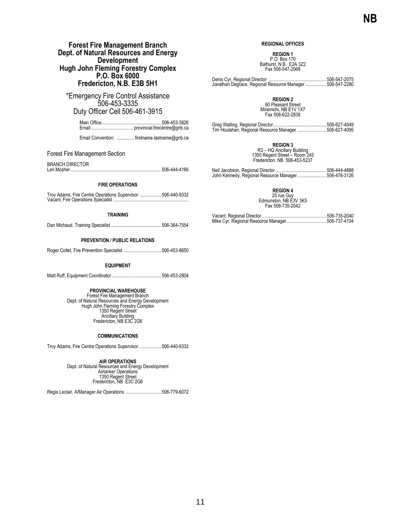## **Forest Fire Management Branch Dept. of Natural Resources and Energy Development Hugh John Fleming Forestry Complex P.O. Box 6000 Fredericton, N.B. E3B 5H1**

<span id="page-14-0"></span>\*Emergency Fire Control Assistance 506-453-3335 Duty Officer Cell 506-461-3915

> Main Office...................................................506-453-3826 Email.................................... provincial.firecentre@gnb.ca

> Email Convention: ............... firstname.lastname@gnb.ca

## Forest Fire Management Section

BRANCH DIRECTOR<br>Len Mosher ................

Len Mosher .............................................................................506-444-4166

## **FIRE OPERATIONS**

| Troy Adams, Fire Centre Operations Supervisor  506-440-9332 |  |
|-------------------------------------------------------------|--|
|                                                             |  |

## **TRAINING**

Dan Michaud, Training Specialist ...........................................506-364-7554

## **PREVENTION / PUBLIC RELATIONS**

Roger Collet, Fire Prevention Specialist ................................506-453-8650

## **EQUIPMENT**

Matt Ruff, Equipment Coordinator ..........................................506-453-2804

**PROVINCIAL WAREHOUSE**<br>
Forest Fire Management Branch<br>
Dept. of Natural Resources and Energy Development<br>
Hugh John Fleming Forestry Complex<br>
1350 Regent Street Ancillary Building Fredericton, NB E3C 2G6

### **COMMUNICATIONS**

Troy Adams, Fire Centre Operations Supervisor ...................506-440-9332

**AIR OPERATIONS** Dept. of Natural Resources and Energy Development Airtanker Operations 1350 Regent Street Fredericton, NB E3C 2G6

Regis Leclair, A/Manager Air Operations ..............................506-779-6072

## **REGIONAL OFFICES**

**REGION 1** P.O. Box 170 Bathurst, N.B. E2A 3Z2

Fax 506-547-2068

Denis Cyr, Regional Director .................................................506-547-2075 Jonathan Degrace, Regional Resource Manager ..................506-547-2280

**REGION 2**<br>80 Pleasant Street<br>Miramichi, NB E1V 1X7 Fax 506-622-2838

| Tim Houlahan, Regional Resource Manager 506-627-4095 |  |
|------------------------------------------------------|--|

**REGION 3**

R3 – HQ Ancillary Building 1350 Regent Street – Room 245 Fredericton, NB 506-453-5237

Neil Jacobson, Regional Director ...........................................506-444-4888 John Kennedy, Regional Resource Manager.........................506-476-3126

**REGION 4**

25 rue Guy Edmunston, NB E3V 3K5 Fax 506-735-2042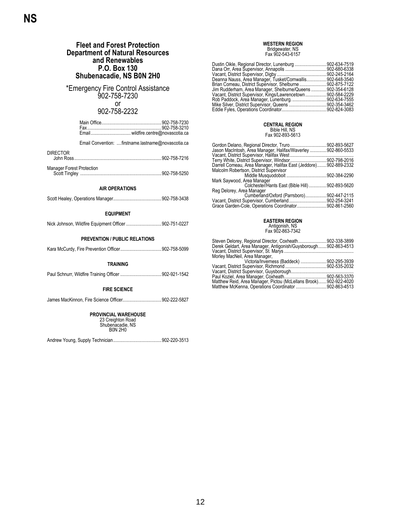<span id="page-15-0"></span>

| <b>Fleet and Forest Protection</b><br><b>Department of Natural Resources</b>           | <b>WESTERN REGION</b><br>Bridgewater, NS<br>Fax 902-543-6157                                                         |
|----------------------------------------------------------------------------------------|----------------------------------------------------------------------------------------------------------------------|
| and Renewables<br>P.O. Box 130<br>Shubenacadie, NS B0N 2H0                             |                                                                                                                      |
| *Emergency Fire Control Assistance<br>902-758-7230<br>or                               |                                                                                                                      |
| 902-758-2232                                                                           |                                                                                                                      |
|                                                                                        | <b>CENTRAL REGION</b><br>Bible Hill, NS<br>Fax 902-893-5613                                                          |
| Email Convention: firstname.lastname@novascotia.ca<br><b>DIRECTOR</b>                  | Gordon Delano, Regional Director, Truro 902-893-5627<br>Jason MacIntosh, Area Manager, Halifax/Waverley 902-860-5533 |
|                                                                                        |                                                                                                                      |
| Manager Forest Protection                                                              | Malcolm Robertson, District Supervisor                                                                               |
| <b>AIR OPERATIONS</b>                                                                  | Mark Saywood, Area Manager<br>Colchester/Hants East (Bible Hill) 902-893-5620<br>Reg Delorey, Area Manager           |
|                                                                                        | Cumberland/Oxford (Parrsboro)902-447-2115                                                                            |
| <b>EQUIPMENT</b>                                                                       |                                                                                                                      |
| Nick Johnson, Wildfire Equipment Officer 902-751-0227                                  | <b>EASTERN REGION</b><br>Antigonish, NS<br>Fax 902-863-7342                                                          |
| <b>PREVENTION / PUBLIC RELATIONS</b>                                                   | Steven Delorey, Regional Director, Coxheath902-338-3899                                                              |
|                                                                                        | Derek Geldart, Area Manager, Antigonish/Guysborough 902-863-4513<br>Morley MacNeil, Area Manager,                    |
| <b>TRAINING</b>                                                                        | Victoria/Inverness (Baddeck)  902-295-3939                                                                           |
|                                                                                        |                                                                                                                      |
| <b>FIRE SCIENCE</b>                                                                    |                                                                                                                      |
| James MacKinnon, Fire Science Officer902-222-5827                                      |                                                                                                                      |
| <b>PROVINCIAL WAREHOUSE</b><br>23 Creighton Road<br>Shubenacadie, NS<br><b>BON 2HO</b> |                                                                                                                      |

Andrew Young, Supply Technician.........................................902-220-3513

**NS**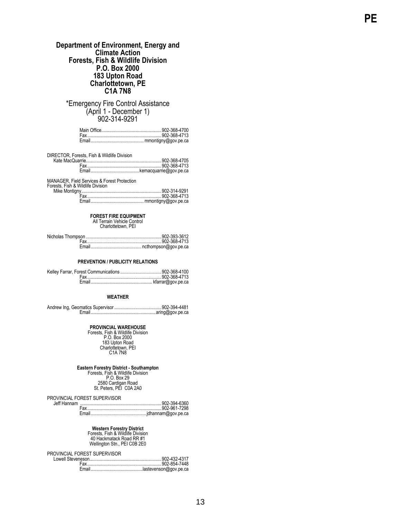## **Department of Environment, Energy and Climate Action Forests, Fish & Wildlife Division P.O. Box 2000 183 Upton Road Charlottetown, PE C1A 7N8**

<span id="page-16-0"></span>\*Emergency Fire Control Assistance (April 1 - December 1) 902 -314 -9291

DIRECTOR, Forests, Fish & Wildlife Division Kate MacQuarrie................................................................902 -368 -4705

| Fmail |  |
|-------|--|
|       |  |

MANAGER, Field Services & Forest Protection

Forests, Fish & Wildlife Division Mike Mont

Kelley Farrar,

## **FOREST FIRE EQUIPMENT** All Terrain Vehicle Control

Charlottetown, PEI

Nicholas Thompson ................................................................902 -393 -3612 Fax...............................................................902 -368 -4713 Email........................................... ncthompson@gov.pe.ca

### **PREVENTION / PUBLICITY RELATIONS**

## **WEATHER**

Andrew Ing, Geomatics Supervisor ........................................902 -394 -4481 Email.......................................................aring@gov.pe.ca

**PROVINCIAL WAREHOUSE**<br>
Forests, Fish & Wildlife Division<br>
P.O. Box 2000<br>
183 Upton Road<br>
Charlottetown, PEI<br>
C1A 7N8

# **Eastern Forestry District - Southampton**<br>Forests, Fish & Wildlife Division<br>P.O. Box 29

2580 Cardigan Road St. Peters, PEI C0A 2A0

PROVINCIAL FOREST SUPERVISOR Jeff Hannam

**Western Forestry District** Forests, Fish & Wildlife Division

40 Hackmatack Road RR #1 Wellington Stn., PEI C0B 2E0

PROVINCIAL FOREST SUPERVISOR Lowell Steve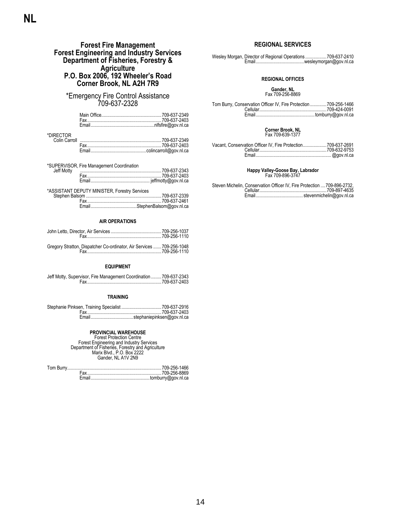## **Forest Fire Management Forest Engineering and Industry Services Department of Fisheries, Forestry & Agriculture P.O. Box 2006, 192 Wheeler's Road Corner Brook, NL A2H 7R9**

## <span id="page-17-0"></span>\*Emergency Fire Control Assistance 709-637-2328

| *DIRFCTOR |  |
|-----------|--|
|           |  |
|           |  |
|           |  |

| Jeff Motty | *SUPERVISOR, Fire Management Coordination     |  |
|------------|-----------------------------------------------|--|
|            |                                               |  |
|            |                                               |  |
|            |                                               |  |
|            | *ASSISTANT DEPUTY MINISTER, Forestry Services |  |
|            |                                               |  |
|            |                                               |  |

## **AIR OPERATIONS**

| Gregory Stratton, Dispatcher Co-ordinator, Air Services  709-256-1048 |  |
|-----------------------------------------------------------------------|--|

Fax...............................................................709-256-1110

## **EQUIPMENT**

| Jeff Motty, Supervisor, Fire Management Coordination  709-637-2343 |  |
|--------------------------------------------------------------------|--|
|                                                                    |  |

## **TRAINING**

**PROVINCIAL WAREHOUSE**<br>
Forest Protection Centre<br>
Forest Engineering and Industry Services<br>
Department of Fisheries, Forestry and Agriculture<br>
Marix Blvd., P.O. Box 2222<br>
Gander, NL A1V 2N9

## **REGIONAL SERVICES**

Wesley Morgan, Director of Regional Operations ..................709-637-2410 Email.........................................wesleymorgan@gov.nl.ca

## **REGIONAL OFFICES**

## **Gander, NL** Fax 709-256-8869

| Tom Burry, Conservation Officer IV, Fire Protection 709-256-1466 |  |
|------------------------------------------------------------------|--|
|                                                                  |  |
|                                                                  |  |

### **Corner Brook, NL** Fax 709-639-1377

| Vacant, Conservation Officer IV, Fire Protection709-637-2691 |  |
|--------------------------------------------------------------|--|
|                                                              |  |
|                                                              |  |

## **Happy Valley-Goose Bay, Labrador** Fax 709-896-3747

| Steven Michelin, Conservation Officer IV, Fire Protection  709-896-2732, |  |  |
|--------------------------------------------------------------------------|--|--|
|                                                                          |  |  |
|                                                                          |  |  |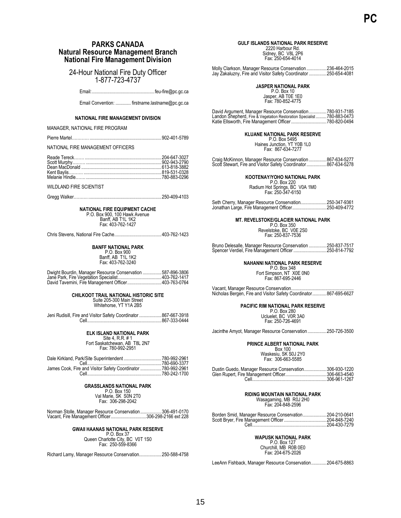## <span id="page-18-0"></span>**PARKS CANADA Natural Resource Management Branch National Fire Management Division**

## 24-Hour National Fire Duty Officer 1-877-723-4737

Email:.....................................................feu-fire@pc.gc.ca

Email Convention: ............. firstname.lastname@pc.gc.ca

## **NATIONAL FIRE MANAGEMENT DIVISION**

MANAGER, NATIONAL FIRE PROGRAM

Pierre Martel………….............................................................902-401-5789

NATIONAL FIRE MANAGEMENT OFFICERS

WILDLAND FIRE SCIENTIST

Gregg Walker………. ..............................................................250-409-4103

**NATIONAL FIRE EQUIPMENT CACHE** P.O. Box 900, 100 Hawk Avenue Banff, AB T1L 1K2 Fax: 403-762-1427

Chris Stevens, National Fire Cache........................................403-762-1423

### **BANFF NATIONAL PARK** P.O. Box 900

Banff, AB T1L 1K2 Fax: 403-762-3240

| Dwight Bourdin, Manager Resource Conservation  587-896-3806 |  |
|-------------------------------------------------------------|--|
|                                                             |  |
| David Tavernini, Fire Management Officer403-763-0764        |  |

## **CHILKOOT TRAIL NATIONAL HISTORIC SITE**

Suite 205-300 Main Street Whitehorse, YT Y1A 2B5

| Jeni Rudisill, Fire and Visitor Safety Coordinator  867-667-3918 |
|------------------------------------------------------------------|
|                                                                  |

## **ELK ISLAND NATIONAL PARK**

Site 4, R.R. # 1 Fort Saskatchewan, AB T8L 2N7 Fax: 780-992-2951

| James Cook, Fire and Visitor Safety Coordinator  780-992-2961 |  |
|---------------------------------------------------------------|--|
|                                                               |  |

## **GRASSLANDS NATIONAL PARK**

P.O. Box 150 Val Marie, SK S0N 2T0 Fax: 306-298-2042

Norman Stolle, Manager Resource Conservation..................306-491-0170 Vacant, Fire Management Officer..............................306-298-2166 ext 228

## **GWAII HAANAS NATIONAL PARK RESERVE**

P.O. Box 37 Queen Charlotte City, BC V0T 1S0 Fax: 250-559-8366

Richard Lamy, Manager Resource Conservation...................250-588-4758

## **GULF ISLANDS NATIONAL PARK RESERVE**

2220 Harbour Rd. Sidney, BC V8L 2P6 Fax: 250-654-4014

Molly Clarkson, Manager Resource Conservation .................236-464-2015 Jay Zakaluzny, Fire and Visitor Safety Coordinator ...............250-654-4081

**JASPER NATIONAL PARK**

P.O. Box 10 Jasper, AB T0E 1E0 Fax: 780-852-4775

David Argument, Manager Resource Conservation...............780-931-7185<br>Landon Shepherd, Fire & Vegetation Restoration Specialist.........780-883-0473<br>Katie Ellsworth, Fire Management Officer..............................

**KLUANE NATIONAL PARK RESERVE**

P.O. Box 5495 Haines Junction, YT Y0B 1L0 Fax: 867-634-7277

Craig McKinnon, Manager Resource Conservation ...............867-634-5277 Scott Stewart, Fire and Visitor Safety Coordinator.................867-634-5278

**KOOTENAY/YOHO NATIONAL PARK** P.O. Box 220

Radium Hot Springs, BC V0A 1M0 Fax: 250-347-6150

Seth Cherry, Manager Resource Conservation......................250-347-9361 Jonathan Large, Fire Management Officer.............................250-409-4772

**MT. REVELSTOKE/GLACIER NATIONAL PARK** P.O. Box 350 Revelstoke, BC V0E 2S0

Fax: 250-837-7536

Bruno Delesalle, Manager Resource Conservation ...............250-837-7517 Spencer Verdiel, Fire Management Officer ............................250-814-7792

**NAHANNI NATIONAL PARK RESERVE** P.O. Box 348

Fort Simpson, NT X0E 0N0 Fax: 867-695-2446

Vacant, Manager Resource Conservation... Nicholas Bergen, Fire and Visitor Safety Coordinator............867-695-6627

# **PACIFIC RIM NATIONAL PARK RESERVE**<br>P.O. Box 280<br>Ucluelet, BC V0R 3A0

Fax: 250-726-4691

Jacinthe Amyot, Manager Resource Conservation ................250-726-3500

## **PRINCE ALBERT NATIONAL PARK**

Box 100 Waskesiu, SK S0J 2Y0 Fax: 306-663-5585

| Dustin Guedo, Manager Resource Conservation306-930-1220 |              |
|---------------------------------------------------------|--------------|
|                                                         |              |
|                                                         | 306-961-1267 |

## **RIDING MOUNTAIN NATIONAL PARK**

Wasagaming, MB R0J 2H0 Fax: 204-848-2596

| Borden Smid, Manager Resource Conservation204-210-0641 |              |
|--------------------------------------------------------|--------------|
|                                                        |              |
|                                                        | 204-430-7279 |

## **WAPUSK NATIONAL PARK**

P.O. Box 127 Churchill, MB R0B 0E0 Fax: 204-675-2026

LeeAnn Fishback, Manager Resource Conservation.............204-675-8863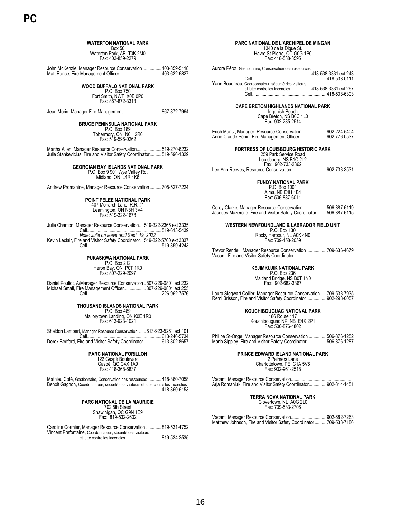## **WATERTON NATIONAL PARK**

Box 50 Waterton Park, AB T0K 2M0 Fax: 403-859-2279

John McKenzie, Manager Resource Conservation ................403-859-5118 Matt Rance, Fire Management Officer....................................403-632-6827

## **WOOD BUFFALO NATIONAL PARK**

P.O. Box 750 Fort Smith, NWT X0E 0P0 Fax: 867-872-3313

Jean Morin, Manager Fire Management.................................867-872-7964

### **BRUCE PENINSULA NATIONAL PARK**

P.O. Box 189 Tobermory, ON N0H 2R0 Fax: 519-596-0262

Martha Allen, Manager Resource Conservation.....................519-270-6232 Julie Stankevicius, Fire and Visitor Safety Coordinator..........519-596-1329

### **GEORGIAN BAY ISLANDS NATIONAL PARK**

P.O. Box 9 901 Wye Valley Rd. Midland, ON L4R 4K6

Andrew Promanine, Manager Resource Conservation..........705-527-7224

## **POINT PELEE NATIONAL PARK**

407 Monarch Lane, R.R. #1 Leamington, ON N8H 3V4 Fax: 519-322-1678

Julie Charlton, Manager Resource Conservation....519-322-2365 ext 3335

Cell...............................................................519-613-5439 *Note: Julie on leave until Sept. 19, 2022* Kevin Leclair, Fire and Visitor Safety Coordinator...519-322-5700 ext 3337 Cell...............................................................519-359-4243

**PUKASKWA NATIONAL PARK** P.O. Box 212 Heron Bay, ON P0T 1R0 Fax: 807-229-2097

Daniel Pouliot, A/Manager Resource Conservation ..807-229-0801 ext 232 Michael Small, Fire Management Officer...................807-229-0801 ext 255 Cell...............................................................226-962-7576

# **THOUSAND ISLANDS NATIONAL PARK**<br>P.O. Box 469<br>Mallorytown Landing, ON K0E 1R0<br>Fax: 613-923-1021

Sheldon Lambert, Manager Resource Conservation ......613-923-5261 ext 101 Cell...............................................................613-246-5734 Derek Bedford, Fire and Visitor Safety Coordinator..................613-802-8657

> **PARC NATIONAL FORILLON** 122 Gaspé Boulevard Gaspé, QC G4X 1A9 Fax: 418-368-6837

Mathieu Coté, Gestionnaire, Conservation des ressources............418-360-7058 Benoit Gagnon, Coordonnateur, sécurité des visiteurs et lutte contre les incendies .....418-360-6153

## **PARC NATIONAL DE LA MAURICIE** 702 5th Street Shawinigan, QC G9N 1E9 Fax: 819-532-2602

Caroline Cormier, Manager Resource Conservation .............819-531-4752 Vincent Prefontaine, Coordonnateur, sécurité des visiteurs et lutte contre les incendies ..............................819-534-2535

### **PARC NATIONAL DE L'ARCHIPEL DE MINGAN** 1340 de la Digue St.

Havre St-Pierre, QC G0G 1P0 Fax: 418-538-3595

Aurore Pérot, Gestionnaire, Conservation des ressources

........................................................418-538-3331 ext 243 Cell...............................................................418-538-0111 Yann Boudreau, Coordonnateur, sécurité des visiteurs

et lutte contre les incendies .................418-538-3331 ext 267 الماد : 200 كانت : 200 كانت : 200 كانت : 200 كانت : 201 كانت : 201 كانت : 201 كانت : 201 كانت : 201 كانت : 20<br>418-538-6303

## **CAPE BRETON HIGHLANDS NATIONAL PARK**

Ingonish Beach Cape Breton, NS B0C 1L0 Fax: 902-285-2514

Erich Muntz, Manager, Resource Conservation.....................902-224-5404 Anne-Claude Pépin, Fire Management Officer.......................902-776-0537

## **FORTRESS OF LOUISBOURG HISTORIC PARK**

259 Park Service Road Louisbourg, NS B1C 2L2 Fax: 902-733-2362

Lee Ann Reeves, Resource Conservation .............................902-733-3531

**FUNDY NATIONAL PARK**

P.O. Box 1001 Alma, NB E4H 1B4 Fax: 506-887-6011

Corey Clarke, Manager Resource Conservation....................506-887-6119 Jacques Mazerolle, Fire and Visitor Safety Coordinator ........506-887-6115

**WESTERN NEWFOUNDLAND & LABRADOR FIELD UNIT**

P.O. Box 130 Rocky Harbour, NL A0K 4N0 Fax: 709-458-2059

Trevor Rendell, Manager Resource Conservation .................709-636-4679 Vacant, Fire and Visitor Safety Coordinator ..................................................

**KEJIMKUJIK NATIONAL PARK**

P.O. Box 236 Maitland Bridge, NS B0T 1N0 Fax: 902-682-3367

Laura Siegwart Collier, Manager Resource Conservation .....709-533-7935 Remi Brisson, Fire and Visitor Safety Coordinator.................902-298-0057

> **KOUCHIBOUGUAC NATIONAL PARK** 186 Route 117

Kouchibouguac NP, NB E4X 2P1 Fax: 506-876-4802

Philipe St-Onge, Manager Resource Conservation ...............506-876-1252 Mario Sippley, Fire and Visitor Safety Coordinator.................506-876-1287

**PRINCE EDWARD ISLAND NATIONAL PARK**

2 Palmers Lane Charlottetown, PEI C1A 5V6 Fax: 902-961-2518

Vacant, Manager Resource Conservation... Arja Romaniuk, Fire and Visitor Safety Coordinator...............902-314-1451

**TERRA NOVA NATIONAL PARK** 

Glovertown, NL A0G 2L0 Fax: 709-533-2706

Vacant, Manager Resource Conservation..............................902-682-7263 Matthew Johnson, Fire and Visitor Safety Coordinator..........709-533-7186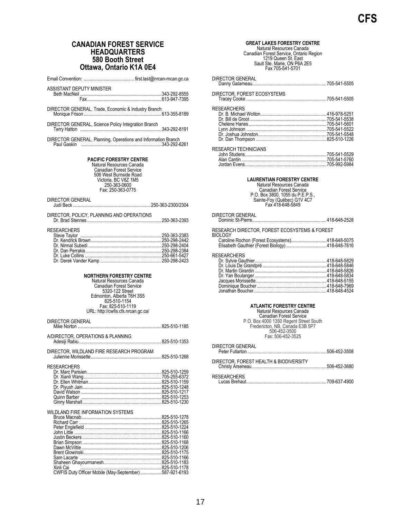## **CANADIAN FOREST SERVICE HEADQUARTERS 580 Booth Street Ottawa, Ontario K1A 0E4**

<span id="page-20-1"></span><span id="page-20-0"></span>

| Ottawa, Ontario K1A 0E4                                                                                                                                                                                                  |  |
|--------------------------------------------------------------------------------------------------------------------------------------------------------------------------------------------------------------------------|--|
|                                                                                                                                                                                                                          |  |
| <b>ASSISTANT DEPUTY MINISTER</b>                                                                                                                                                                                         |  |
|                                                                                                                                                                                                                          |  |
|                                                                                                                                                                                                                          |  |
| DIRECTOR GENERAL, Trade, Economic & Industry Branch                                                                                                                                                                      |  |
| DIRECTOR GENERAL, Science Policy Integration Branch                                                                                                                                                                      |  |
| DIRECTOR GENERAL, Planning, Operations and Information Branch                                                                                                                                                            |  |
|                                                                                                                                                                                                                          |  |
| <b>PACIFIC FORESTRY CENTRE</b><br>Natural Resources Canada<br><b>Canadian Forest Service</b><br>506 West Burnside Road<br>Victoria, BC V8Z 1M5<br>250-363-0600<br>Fax: 250-363-0775                                      |  |
| <b>DIRECTOR GENERAL</b>                                                                                                                                                                                                  |  |
| DIRECTOR, POLICY, PLANNING AND OPERATIONS                                                                                                                                                                                |  |
| <b>RESEARCHERS</b>                                                                                                                                                                                                       |  |
| <b>NORTHERN FORESTRY CENTRE</b><br>Natural Resources Canada<br><b>Canadian Forest Service</b><br>5320-122 Street<br>Edmonton, Alberta T6H 3S5<br>825-510-1154<br>Fax: 825-510-1119<br>URL: http://cwfis.cfs.nrcan.gc.ca/ |  |
| DIRECTOR GENERAL                                                                                                                                                                                                         |  |
| A/DIRECTOR, OPERATIONS & PLANNING                                                                                                                                                                                        |  |
|                                                                                                                                                                                                                          |  |
| DIRECTOR, WILDLAND FIRE RESEARCH PROGRAM                                                                                                                                                                                 |  |
| <b>RESEARCHERS</b>                                                                                                                                                                                                       |  |
| WILDLAND FIRE INFORMATION SYSTEMS                                                                                                                                                                                        |  |
|                                                                                                                                                                                                                          |  |
|                                                                                                                                                                                                                          |  |
|                                                                                                                                                                                                                          |  |

<span id="page-20-3"></span>Shaheen Ghayourmanesh.................................................825-510-1183 Xinli Cai .....................................................................825-510-1178 CWFIS Duty Officer Mobile (May-September)..................587-921-6193

## <span id="page-20-4"></span>**GREAT LAKES FORESTRY CENTRE** Natural Resources Canada Canadian Forest Service, Ontario Region 1219 Queen St. East Sault Ste. Marie, ON P6A 2E5 Fax 705-541-5701 DIRECTOR GENERAL Danny Galarneau...............................................................705-541-5505 DIRECTOR, FOREST ECOSYSTEMS Tracey Cooke ....................................................................705-541-5505 **RESEARCHERS** Dr. B. Michael Wotton........................................................416-978-5251 Dr. Bill de Groot .................................................................705-541-5538 Chelene Hanes..................................................................705-541-5601 Lynn Johnson ....................................................................705-541-5522 Dr. Joshua Johnston..........................................................705-541-5548 Dr. Dan Thompson ............................................................825-510-1226 RESEARCH TECHNICIANS John Studens.....................................................................705-541-5529 Alan Cantin ........................................................................705-541-5760 Jordan Evens.....................................................................705-992-5984 **LAURENTIAN FORESTRY CENTRE** Natural Resources Canada Canadian Forest Service P.O. Box 3800, 1055 du P.E.P.S., Sainte-Foy (Québec) G1V 4C7 Fax 418-648-5849 DIRECTOR GENERAL Dominic St-Pierre...............................................................418-648-2528 RESEARCH DIRECTOR, FOREST ECOSYSTEMS & FOREST **BIOLOGY** Caroline Rochon (Forest Ecosystems)..............................418-648-5075 Elisabeth Gauthier (Forest Biology) ..................................418-648-7616 RESEARCHERS<br>Dr. Sylvie Gauthier... Dr. Sylvie Gauthier.............................................................418-648-5829 Dr. Louis De Grandpré ......................................................418-648-5846 Dr. Martin Girardin .............................................................418-648-5826 Dr. Yan Boulanger.............................................................418-648-5834 Jacques Morissette............................................................418-648-5155 Dominique Boucher...........................................................418-648-7969 Jonathan Boucher..............................................................418-648-4524 **ATLANTIC FORESTRY CENTRE** Natural Resources Canada Canadian Forest Service P.O. Box 4000 1350 Regent Street South Fredericton, NB, Canada E3B 5P7 506-452-3500 Fax: 506-452-3525

<span id="page-20-2"></span>

| DIRECTOR GENERAL                       |  |
|----------------------------------------|--|
| DIRECTOR, FOREST HEALTH & BIODIVERSITY |  |
| <b>RESEARCHERS</b>                     |  |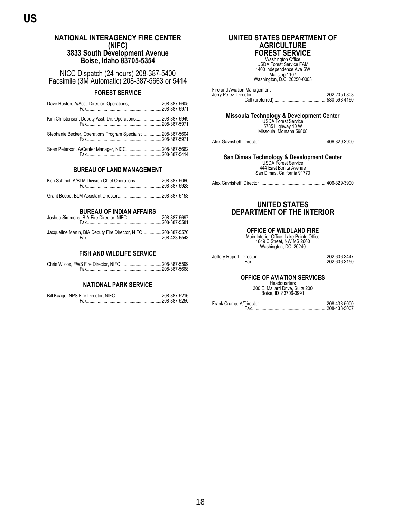## <span id="page-21-1"></span><span id="page-21-0"></span>**NATIONAL INTERAGENCY FIRE CENTER (NIFC) 3833 South Development Avenue Boise, Idaho 83705-5354**

NICC Dispatch (24 hours) 208-387-5400 Facsimile (3M Automatic) 208-387-5663 or 5414

## **FOREST SERVICE**

| Dave Haston, A/Asst. Director, Operations, 208-387-5605       | 208-387-5971 |
|---------------------------------------------------------------|--------------|
| Kim Christensen, Deputy Asst. Dir. Operations 208-387-5949    | 208-387-5971 |
| Stephanie Becker, Operations Program Specialist  208-387-5604 | 208-387-5971 |
| Sean Peterson, A/Center Manager, NICC208-387-5662             |              |

## **BUREAU OF LAND MANAGEMENT**

### **BUREAU OF INDIAN AFFAIRS** Joshua Simmons, BIA Fire Director, NIFC.............................208-387-5697

| Jacqueline Martin, BIA Deputy Fire Director, NIFC 208-387-5576 |  |
|----------------------------------------------------------------|--|

## **FISH AND WILDLIFE SERVICE**

## **NATIONAL PARK SERVICE**

<span id="page-21-6"></span><span id="page-21-2"></span>

## **UNITED STATES DEPARTMENT OF AGRICULTURE FOREST SERVICE**

Washington Office USDA Forest Service FAM 1400 Independence Ave SW Mailstop 1107 Washington, D.C. 20250-0003

| Fire and Aviation Management |  |
|------------------------------|--|
|                              |  |
|                              |  |

# <span id="page-21-3"></span>**Missoula Technology & Development Center**<br>USDA Forest Service<br>5785 Highway 10 W

Missoula, Montana 59808

Alex Gavrisheff, Director.........................................................406-329-3900

# <span id="page-21-4"></span>**San Dimas Technology & Development Center<br>USDA Forest Service<br>444 East Bonita Avenue**

San Dimas, California 91773

Alex Gavrisheff, Director.........................................................406-329-3900

## <span id="page-21-5"></span>**UNITED STATES DEPARTMENT OF THE INTERIOR**

## **OFFICE OF WILDLAND FIRE**

Main Interior Office: Lake Pointe Office 1849 C Street, NW MS 2660 Washington, DC 20240

## **OFFICE OF AVIATION SERVICES**

Headquarters 300 E. Mallard Drive, Suite 200 Boise, ID 83706-3991

Frank Crump, A/Director.........................................................208-433-5000 Fax...............................................................208-433-5007